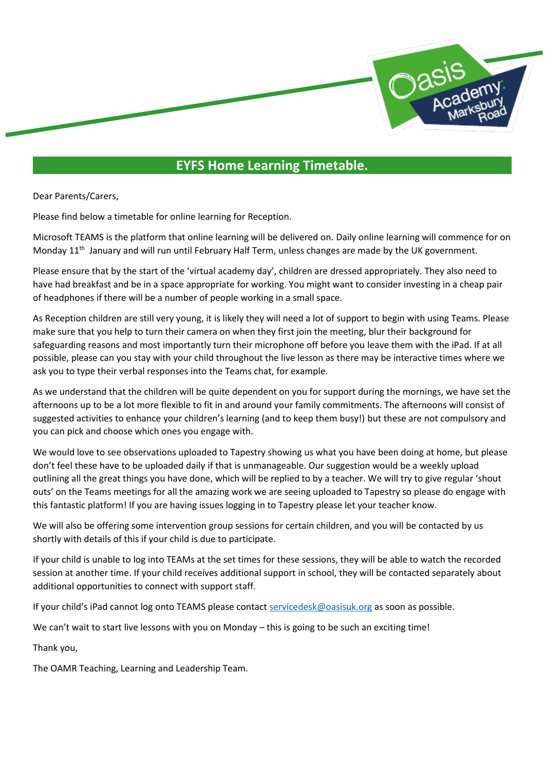

## **EYFS Home Learning Timetable.**

Dear Parents/Carers,

Please find below a timetable for online learning for Reception.

Microsoft TEAMS is the platform that online learning will be delivered on. Daily online learning will commence for on Monday 11<sup>th</sup> January and will run until February Half Term, unless changes are made by the UK government.

Please ensure that by the start of the 'virtual academy day', children are dressed appropriately. They also need to have had breakfast and be in a space appropriate for working. You might want to consider investing in a cheap pair of headphones if there will be a number of people working in a small space.

As Reception children are still very young, it is likely they will need a lot of support to begin with using Teams. Please make sure that you help to turn their camera on when they first join the meeting, blur their background for safeguarding reasons and most importantly turn their microphone off before you leave them with the iPad. If at all possible, please can you stay with your child throughout the live lesson as there may be interactive times where we ask you to type their verbal responses into the Teams chat, for example.

As we understand that the children will be quite dependent on you for support during the mornings, we have set the afternoons up to be a lot more flexible to fit in and around your family commitments. The afternoons will consist of suggested activities to enhance your children's learning (and to keep them busy!) but these are not compulsory and you can pick and choose which ones you engage with.

We would love to see observations uploaded to Tapestry showing us what you have been doing at home, but please don't feel these have to be uploaded daily if that is unmanageable. Our suggestion would be a weekly upload outlining all the great things you have done, which will be replied to by a teacher. We will try to give regular 'shout outs' on the Teams meetings for all the amazing work we are seeing uploaded to Tapestry so please do engage with this fantastic platform! If you are having issues logging in to Tapestry please let your teacher know.

We will also be offering some intervention group sessions for certain children, and you will be contacted by us shortly with details of this if your child is due to participate.

If your child is unable to log into TEAMs at the set times for these sessions, they will be able to watch the recorded session at another time. If your child receives additional support in school, they will be contacted separately about additional opportunities to connect with support staff.

If your child's iPad cannot log onto TEAMS please contact [servicedesk@oasisuk.org](mailto:servicedesk@oasisuk.org) as soon as possible.

We can't wait to start live lessons with you on Monday – this is going to be such an exciting time!

Thank you,

The OAMR Teaching, Learning and Leadership Team.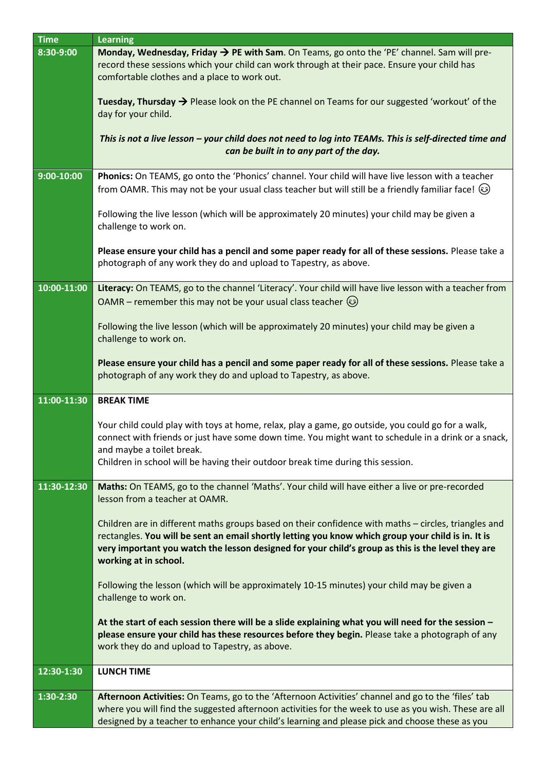| <b>Time</b>  | <b>Learning</b>                                                                                                                                                                                                                                                                                                                          |
|--------------|------------------------------------------------------------------------------------------------------------------------------------------------------------------------------------------------------------------------------------------------------------------------------------------------------------------------------------------|
| 8:30-9:00    | Monday, Wednesday, Friday $\rightarrow$ PE with Sam. On Teams, go onto the 'PE' channel. Sam will pre-<br>record these sessions which your child can work through at their pace. Ensure your child has<br>comfortable clothes and a place to work out.                                                                                   |
|              | Tuesday, Thursday $\rightarrow$ Please look on the PE channel on Teams for our suggested 'workout' of the<br>day for your child.                                                                                                                                                                                                         |
|              | This is not a live lesson - your child does not need to log into TEAMs. This is self-directed time and<br>can be built in to any part of the day.                                                                                                                                                                                        |
| $9:00-10:00$ | Phonics: On TEAMS, go onto the 'Phonics' channel. Your child will have live lesson with a teacher                                                                                                                                                                                                                                        |
|              | from OAMR. This may not be your usual class teacher but will still be a friendly familiar face! (3)                                                                                                                                                                                                                                      |
|              | Following the live lesson (which will be approximately 20 minutes) your child may be given a<br>challenge to work on.                                                                                                                                                                                                                    |
|              | Please ensure your child has a pencil and some paper ready for all of these sessions. Please take a<br>photograph of any work they do and upload to Tapestry, as above.                                                                                                                                                                  |
| 10:00-11:00  | Literacy: On TEAMS, go to the channel 'Literacy'. Your child will have live lesson with a teacher from<br>OAMR – remember this may not be your usual class teacher $\circled{e}$                                                                                                                                                         |
|              | Following the live lesson (which will be approximately 20 minutes) your child may be given a<br>challenge to work on.                                                                                                                                                                                                                    |
|              | Please ensure your child has a pencil and some paper ready for all of these sessions. Please take a<br>photograph of any work they do and upload to Tapestry, as above.                                                                                                                                                                  |
| 11:00-11:30  | <b>BREAK TIME</b>                                                                                                                                                                                                                                                                                                                        |
|              | Your child could play with toys at home, relax, play a game, go outside, you could go for a walk,<br>connect with friends or just have some down time. You might want to schedule in a drink or a snack,<br>and maybe a toilet break.<br>Children in school will be having their outdoor break time during this session.                 |
|              |                                                                                                                                                                                                                                                                                                                                          |
| 11:30-12:30  | Maths: On TEAMS, go to the channel 'Maths'. Your child will have either a live or pre-recorded<br>lesson from a teacher at OAMR.                                                                                                                                                                                                         |
|              | Children are in different maths groups based on their confidence with maths - circles, triangles and<br>rectangles. You will be sent an email shortly letting you know which group your child is in. It is<br>very important you watch the lesson designed for your child's group as this is the level they are<br>working at in school. |
|              | Following the lesson (which will be approximately 10-15 minutes) your child may be given a<br>challenge to work on.                                                                                                                                                                                                                      |
|              | At the start of each session there will be a slide explaining what you will need for the session -<br>please ensure your child has these resources before they begin. Please take a photograph of any<br>work they do and upload to Tapestry, as above.                                                                                  |
| 12:30-1:30   | <b>LUNCH TIME</b>                                                                                                                                                                                                                                                                                                                        |
| 1:30-2:30    | Afternoon Activities: On Teams, go to the 'Afternoon Activities' channel and go to the 'files' tab                                                                                                                                                                                                                                       |
|              | where you will find the suggested afternoon activities for the week to use as you wish. These are all<br>designed by a teacher to enhance your child's learning and please pick and choose these as you                                                                                                                                  |